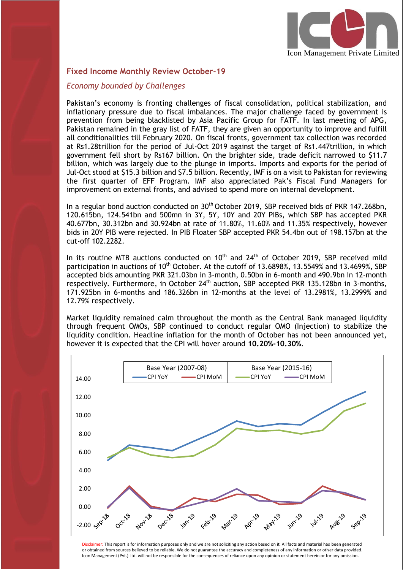

### **Fixed Income Monthly Review October-19**

#### *Economy bounded by Challenges*

Pakistan's economy is fronting challenges of fiscal consolidation, political stabilization, and inflationary pressure due to fiscal imbalances. The major challenge faced by government is prevention from being blacklisted by Asia Pacific Group for FATF. In last meeting of APG, Pakistan remained in the gray list of FATF, they are given an opportunity to improve and fulfill all conditionalities till February 2020. On fiscal fronts, government tax collection was recorded at Rs1.28trillion for the period of Jul-Oct 2019 against the target of Rs1.447trillion, in which government fell short by Rs167 billion. On the brighter side, trade deficit narrowed to \$11.7 billion, which was largely due to the plunge in imports. Imports and exports for the period of Jul-Oct stood at \$15.3 billion and \$7.5 billion. Recently, IMF is on a visit to Pakistan for reviewing the first quarter of EFF Program. IMF also appreciated Pak's Fiscal Fund Managers for improvement on external fronts, and advised to spend more on internal development.

In a regular bond auction conducted on 30<sup>th</sup> October 2019, SBP received bids of PKR 147.268bn, 120.615bn, 124.541bn and 500mn in 3Y, 5Y, 10Y and 20Y PIBs, which SBP has accepted PKR 40.677bn, 30.312bn and 30.924bn at rate of 11.80%, 11.60% and 11.35% respectively, however bids in 20Y PIB were rejected. In PIB Floater SBP accepted PKR 54.4bn out of 198.157bn at the cut-off 102.2282.

In its routine MTB auctions conducted on 10<sup>th</sup> and 24<sup>th</sup> of October 2019, SBP received mild participation in auctions of 10<sup>th</sup> October. At the cutoff of 13.6898%, 13.5549% and 13.4699%, SBP accepted bids amounting PKR 321.03bn in 3-month, 0.50bn in 6-month and 490.9bn in 12-month respectively. Furthermore, in October 24<sup>th</sup> auction, SBP accepted PKR 135.128bn in 3-months, 171.925bn in 6-months and 186.326bn in 12-months at the level of 13.2981%, 13.2999% and 12.79% respectively.

Market liquidity remained calm throughout the month as the Central Bank managed liquidity through frequent OMOs, SBP continued to conduct regular OMO (Injection) to stabilize the liquidity condition. Headline inflation for the month of October has not been announced yet, however it is expected that the CPI will hover around **10.20%-10.30%**.



Disclaimer: This report is for information purposes only and we are not soliciting any action based on it. All facts and material has been generated or obtained from sources believed to be reliable. We do not guarantee the accuracy and completeness of any information or other data provided. Icon Management (Pvt.) Ltd. will not be responsible for the consequences of reliance upon any opinion or statement herein or for any omission.